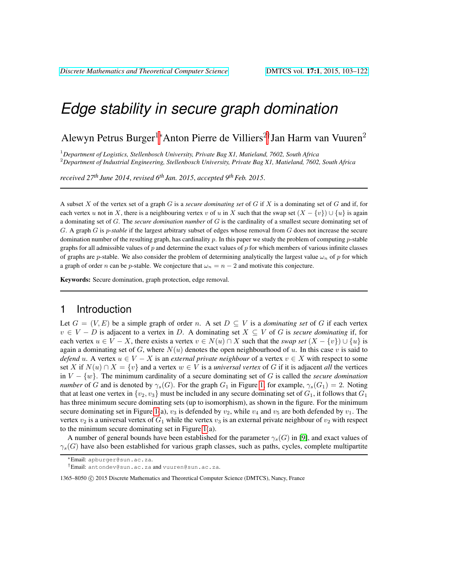# *Edge stability in secure graph domination*

Alewyn Petrus Burger<sup>1∗</sup>Anton Pierre de Villiers<sup>2†</sup>Jan Harm van Vuuren<sup>2</sup>

<sup>1</sup>*Department of Logistics, Stellenbosch University, Private Bag X1, Matieland, 7602, South Africa* <sup>2</sup>*Department of Industrial Engineering, Stellenbosch University, Private Bag X1, Matieland, 7602, South Africa*

*received 27th June 2014*, *revised 6th Jan. 2015*, *accepted 9thFeb. 2015*.

A subset X of the vertex set of a graph G is a *secure dominating set* of G if X is a dominating set of G and if, for each vertex u not in X, there is a neighbouring vertex v of u in X such that the swap set  $(X - \{v\}) \cup \{u\}$  is again a dominating set of G. The *secure domination number* of G is the cardinality of a smallest secure dominating set of G. A graph G is p-*stable* if the largest arbitrary subset of edges whose removal from G does not increase the secure domination number of the resulting graph, has cardinality  $p$ . In this paper we study the problem of computing  $p$ -stable graphs for all admissible values of p and determine the exact values of p for which members of various infinite classes of graphs are p-stable. We also consider the problem of determining analytically the largest value  $\omega_n$  of p for which a graph of order n can be p-stable. We conjecture that  $\omega_n = n - 2$  and motivate this conjecture.

Keywords: Secure domination, graph protection, edge removal.

### 1 Introduction

Let  $G = (V, E)$  be a simple graph of order n. A set  $D \subseteq V$  is a *dominating set* of G if each vertex  $v \in V - D$  is adjacent to a vertex in D. A dominating set  $X \subseteq V$  of G is *secure dominating* if, for each vertex  $u \in V - X$ , there exists a vertex  $v \in N(u) \cap X$  such that the *swap set*  $(X - \{v\}) \cup \{u\}$  is again a dominating set of G, where  $N(u)$  denotes the open neighbourhood of u. In this case v is said to *defend* u. A vertex  $u \in V - X$  is an *external private neighbour* of a vertex  $v \in X$  with respect to some set X if  $N(u) \cap X = \{v\}$  and a vertex  $w \in V$  is a *universal vertex* of G if it is adjacent *all* the vertices in  $V - \{w\}$ . The minimum cardinality of a secure dominating set of G is called the *secure domination number* of G and is denoted by  $\gamma_s(G)$ . For the graph  $G_1$  in Figure [1,](#page-1-0) for example,  $\gamma_s(G_1) = 2$ . Noting that at least one vertex in  $\{v_2, v_3\}$  must be included in any secure dominating set of  $G_1$ , it follows that  $G_1$ has three minimum secure dominating sets (up to isomorphism), as shown in the figure. For the minimum secure dominating set in Figure [1\(](#page-1-0)a),  $v_3$  is defended by  $v_2$ , while  $v_4$  and  $v_5$  are both defended by  $v_1$ . The vertex  $v_2$  is a universal vertex of  $G_1$  while the vertex  $v_3$  is an external private neighbour of  $v_2$  with respect to the minimum secure dominating set in Figure [1\(](#page-1-0)a).

A number of general bounds have been established for the parameter  $\gamma_s(G)$  in [\[9\]](#page-13-0), and exact values of  $\gamma_s(G)$  have also been established for various graph classes, such as paths, cycles, complete multipartite

<sup>∗</sup>Email: apburger@sun.ac.za.

<sup>†</sup>Email: antondev@sun.ac.za and vuuren@sun.ac.za.

<sup>1365–8050 © 2015</sup> Discrete Mathematics and Theoretical Computer Science (DMTCS), Nancy, France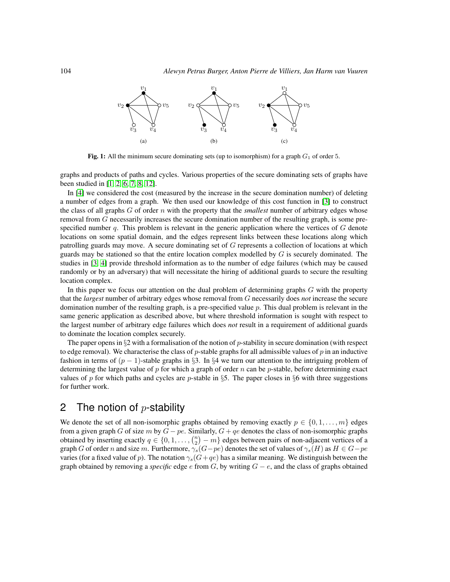

<span id="page-1-0"></span>Fig. 1: All the minimum secure dominating sets (up to isomorphism) for a graph  $G_1$  of order 5.

graphs and products of paths and cycles. Various properties of the secure dominating sets of graphs have been studied in [\[1,](#page-13-1) [2,](#page-13-2) [6,](#page-13-3) [7,](#page-13-4) [8,](#page-13-5) [12\]](#page-14-0).

In [\[4\]](#page-13-6) we considered the cost (measured by the increase in the secure domination number) of deleting a number of edges from a graph. We then used our knowledge of this cost function in [\[3\]](#page-13-7) to construct the class of all graphs  $G$  of order  $n$  with the property that the *smallest* number of arbitrary edges whose removal from G necessarily increases the secure domination number of the resulting graph, is some prespecified number q. This problem is relevant in the generic application where the vertices of  $G$  denote locations on some spatial domain, and the edges represent links between these locations along which patrolling guards may move. A secure dominating set of G represents a collection of locations at which guards may be stationed so that the entire location complex modelled by  $G$  is securely dominated. The studies in [\[3,](#page-13-7) [4\]](#page-13-6) provide threshold information as to the number of edge failures (which may be caused randomly or by an adversary) that will necessitate the hiring of additional guards to secure the resulting location complex.

In this paper we focus our attention on the dual problem of determining graphs  $G$  with the property that the *largest* number of arbitrary edges whose removal from G necessarily does *not* increase the secure domination number of the resulting graph, is a pre-specified value  $p$ . This dual problem is relevant in the same generic application as described above, but where threshold information is sought with respect to the largest number of arbitrary edge failures which does *not* result in a requirement of additional guards to dominate the location complex securely.

The paper opens in  $\S2$  with a formalisation of the notion of p-stability in secure domination (with respect to edge removal). We characterise the class of p-stable graphs for all admissible values of p in an inductive fashion in terms of  $(p - 1)$ -stable graphs in §3. In §4 we turn our attention to the intriguing problem of determining the largest value of  $p$  for which a graph of order  $n$  can be  $p$ -stable, before determining exact values of p for which paths and cycles are p-stable in §5. The paper closes in §6 with three suggestions for further work.

## 2 The notion of  $p$ -stability

We denote the set of all non-isomorphic graphs obtained by removing exactly  $p \in \{0, 1, \ldots, m\}$  edges from a given graph G of size m by  $G - pe$ . Similarly,  $G + qe$  denotes the class of non-isomorphic graphs obtained by inserting exactly  $q \in \{0, 1, \ldots, {n \choose 2} - m\}$  edges between pairs of non-adjacent vertices of a graph G of order n and size m. Furthermore,  $\gamma_s(G-pe)$  denotes the set of values of  $\gamma_s(H)$  as  $H \in G-pe$ varies (for a fixed value of p). The notation  $\gamma_s(G+qe)$  has a similar meaning. We distinguish between the graph obtained by removing a *specific* edge e from G, by writing  $G - e$ , and the class of graphs obtained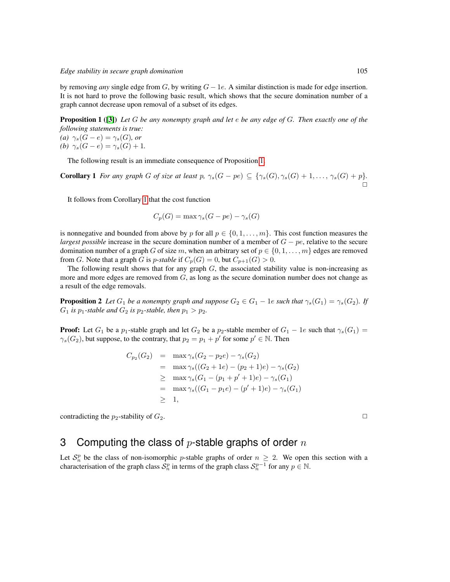by removing *any* single edge from G, by writing  $G - 1e$ . A similar distinction is made for edge insertion. It is not hard to prove the following basic result, which shows that the secure domination number of a graph cannot decrease upon removal of a subset of its edges.

<span id="page-2-0"></span>Proposition 1 ([\[3\]](#page-13-7)) *Let* G *be any nonempty graph and let* e *be any edge of* G*. Then exactly one of the following statements is true:*

*(a)*  $\gamma_s(G-e) = \gamma_s(G)$ *, or (b)*  $\gamma_s(G-e) = \gamma_s(G) + 1$ .

The following result is an immediate consequence of Proposition [1.](#page-2-0)

<span id="page-2-1"></span>**Corollary 1** *For any graph G of size at least*  $p$ *,*  $\gamma_s(G - pe) \subseteq {\gamma_s(G), \gamma_s(G) + 1, ..., \gamma_s(G) + p}.$  $\Box$ 

It follows from Corollary [1](#page-2-1) that the cost function

$$
C_p(G) = \max \gamma_s(G - pe) - \gamma_s(G)
$$

is nonnegative and bounded from above by p for all  $p \in \{0, 1, \ldots, m\}$ . This cost function measures the *largest possible* increase in the secure domination number of a member of  $G - pe$ , relative to the secure domination number of a graph G of size m, when an arbitrary set of  $p \in \{0, 1, \ldots, m\}$  edges are removed from G. Note that a graph G is *p*-*stable* if  $C_p(G) = 0$ , but  $C_{p+1}(G) > 0$ .

The following result shows that for any graph  $G$ , the associated stability value is non-increasing as more and more edges are removed from  $G$ , as long as the secure domination number does not change as a result of the edge removals.

<span id="page-2-2"></span>**Proposition 2** *Let*  $G_1$  *be a nonempty graph and suppose*  $G_2 \in G_1 - 1e$  *such that*  $\gamma_s(G_1) = \gamma_s(G_2)$ *. If*  $G_1$  *is*  $p_1$ -stable and  $G_2$  *is*  $p_2$ -stable, then  $p_1 > p_2$ .

**Proof:** Let  $G_1$  be a  $p_1$ -stable graph and let  $G_2$  be a  $p_2$ -stable member of  $G_1 - 1e$  such that  $\gamma_s(G_1) =$  $\gamma_s(G_2)$ , but suppose, to the contrary, that  $p_2 = p_1 + p'$  for some  $p' \in \mathbb{N}$ . Then

$$
C_{p_2}(G_2) = \max \gamma_s (G_2 - p_2 e) - \gamma_s (G_2)
$$
  
=  $\max \gamma_s ((G_2 + 1e) - (p_2 + 1)e) - \gamma_s (G_2)$   
 $\geq \max \gamma_s (G_1 - (p_1 + p' + 1)e) - \gamma_s (G_1)$   
=  $\max \gamma_s ((G_1 - p_1 e) - (p' + 1)e) - \gamma_s (G_1)$   
 $\geq 1,$ 

contradicting the  $p_2$ -stability of  $G_2$ .

## 3 Computing the class of  $p$ -stable graphs of order  $n$

<span id="page-2-3"></span>Let  $S_n^p$  be the class of non-isomorphic p-stable graphs of order  $n \geq 2$ . We open this section with a characterisation of the graph class  $S_n^p$  in terms of the graph class  $S_n^{p-1}$  for any  $p \in \mathbb{N}$ .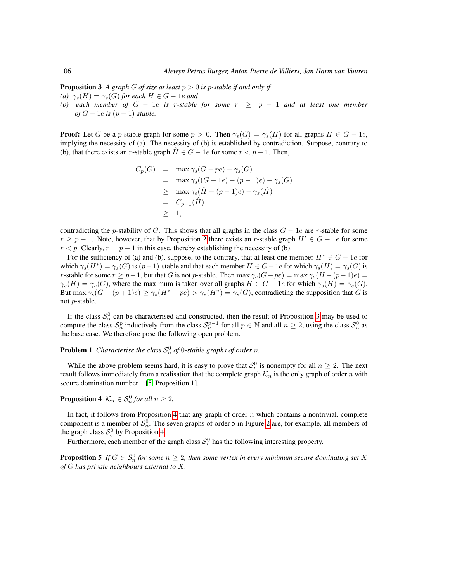**Proposition 3** A graph G of size at least  $p > 0$  is p-stable if and only if

- *(a)*  $\gamma_s(H) = \gamma_s(G)$  *for each*  $H \in G 1e$  *and*
- *(b)* each member of  $G 1e$  is r-stable for some  $r \geq p 1$  and at least one member  $of G - 1e$  *is*  $(p - 1)$ -stable.

**Proof:** Let G be a p-stable graph for some  $p > 0$ . Then  $\gamma_s(G) = \gamma_s(H)$  for all graphs  $H \in G - 1e$ , implying the necessity of (a). The necessity of (b) is established by contradiction. Suppose, contrary to (b), that there exists an r-stable graph  $\hat{H} \in G - 1e$  for some  $r < p - 1$ . Then,

$$
C_p(G) = \max \gamma_s(G - pe) - \gamma_s(G)
$$
  
= 
$$
\max \gamma_s((G - 1e) - (p - 1)e) - \gamma_s(G)
$$
  

$$
\geq \max \gamma_s(\hat{H} - (p - 1)e) - \gamma_s(\hat{H})
$$
  
= 
$$
C_{p-1}(\hat{H})
$$
  

$$
\geq 1,
$$

contradicting the p-stability of G. This shows that all graphs in the class  $G - 1e$  are r-stable for some  $r \ge p - 1$ . Note, however, that by Proposition [2](#page-2-2) there exists an r-stable graph  $H' \in G - 1e$  for some  $r < p$ . Clearly,  $r = p - 1$  in this case, thereby establishing the necessity of (b).

For the sufficiency of (a) and (b), suppose, to the contrary, that at least one member  $H^* \in G - 1e$  for which  $\gamma_s(H^*) = \gamma_s(G)$  is  $(p-1)$ -stable and that each member  $H \in G - 1e$  for which  $\gamma_s(H) = \gamma_s(G)$  is r-stable for some  $r \ge p-1$ , but that G is not p-stable. Then  $\max \gamma_s(G-pe) = \max \gamma_s(H-(p-1)e) =$  $\gamma_s(H) = \gamma_s(G)$ , where the maximum is taken over all graphs  $H \in G - 1e$  for which  $\gamma_s(H) = \gamma_s(G)$ . But  $\max \gamma_s(G-(p+1)e) \ge \gamma_s(H^*-pe) > \gamma_s(H^*) = \gamma_s(G)$ , contradicting the supposition that G is not p-stable.  $\Box$ 

If the class  $S_n^0$  can be characterised and constructed, then the result of Proposition [3](#page-2-3) may be used to compute the class  $S_n^p$  inductively from the class  $S_n^{p-1}$  for all  $p \in \mathbb{N}$  and all  $n \ge 2$ , using the class  $S_n^0$  as the base case. We therefore pose the following open problem.

### <span id="page-3-2"></span>**Problem 1** *Characterise the class*  $S_n^0$  *of* 0-*stable graphs of order n*.

While the above problem seems hard, it is easy to prove that  $S_n^0$  is nonempty for all  $n \geq 2$ . The next result follows immediately from a realisation that the complete graph  $\mathcal{K}_n$  is the only graph of order n with secure domination number 1 [\[5,](#page-13-8) Proposition 1].

### <span id="page-3-0"></span>**Proposition 4**  $\mathcal{K}_n \in \mathcal{S}_n^0$  for all  $n \geq 2$ .

In fact, it follows from Proposition [4](#page-3-0) that any graph of order  $n$  which contains a nontrivial, complete component is a member of  $S_n^0$ . The seven graphs of order 5 in Figure [2](#page-4-0) are, for example, all members of the graph class  $S_5^0$  by Proposition [4.](#page-3-0)

Furthermore, each member of the graph class  $S_n^0$  has the following interesting property.

<span id="page-3-1"></span>**Proposition 5** If  $G \in \mathcal{S}_n^0$  for some  $n \geq 2$ , then some vertex in every minimum secure dominating set X *of* G *has private neighbours external to* X*.*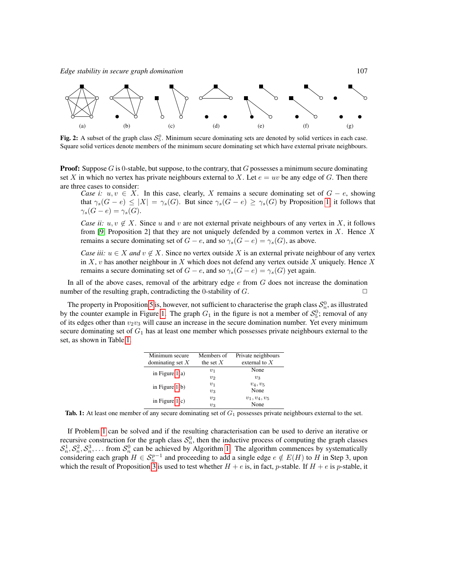

<span id="page-4-0"></span>Fig. 2: A subset of the graph class  $S_5^0$ . Minimum secure dominating sets are denoted by solid vertices in each case. Square solid vertices denote members of the minimum secure dominating set which have external private neighbours.

**Proof:** Suppose G is 0-stable, but suppose, to the contrary, that G possesses a minimum secure dominating set X in which no vertex has private neighbours external to X. Let  $e = uv$  be any edge of G. Then there are three cases to consider:

*Case i:*  $u, v \in X$ . In this case, clearly, X remains a secure dominating set of  $G - e$ , showing that  $\gamma_s(G - e) \leq |X| = \gamma_s(G)$ . But since  $\gamma_s(G - e) \geq \gamma_s(G)$  by Proposition [1,](#page-2-0) it follows that  $\gamma_s(G-e)=\gamma_s(G).$ 

*Case ii:*  $u, v \notin X$ . Since u and v are not external private neighbours of any vertex in X, it follows from [\[9,](#page-13-0) Proposition 2] that they are not uniquely defended by a common vertex in  $X$ . Hence  $X$ remains a secure dominating set of  $G - e$ , and so  $\gamma_s(G - e) = \gamma_s(G)$ , as above.

*Case iii:*  $u \in X$  *and*  $v \notin X$ . Since no vertex outside X is an external private neighbour of any vertex in X, v has another neighbour in X which does not defend any vertex outside X uniquely. Hence X remains a secure dominating set of  $G - e$ , and so  $\gamma_s(G - e) = \gamma_s(G)$  yet again.

In all of the above cases, removal of the arbitrary edge  $e$  from  $G$  does not increase the domination number of the resulting graph, contradicting the 0-stability of  $G$ .

The property in Proposition [5](#page-3-1) is, however, not sufficient to characterise the graph class  $S_n^0$ , as illustrated by the counter example in Figure [1.](#page-1-0) The graph  $G_1$  in the figure is not a member of  $S_5^0$ ; removal of any of its edges other than  $v_2v_3$  will cause an increase in the secure domination number. Yet every minimum secure dominating set of  $G_1$  has at least one member which possesses private neighbours external to the set, as shown in Table [1.](#page-4-1)

| Minimum secure     | Members of  | Private neighbours |
|--------------------|-------------|--------------------|
| dominating set $X$ | the set $X$ | external to $X$    |
| in Figure $1(a)$   | $v_1$       | None               |
|                    | $v_2$       | $v_3$              |
| in Figure $1(b)$   | $v_1$       | $v_4, v_5$         |
|                    | $v_3$       | None               |
| in Figure $1(c)$   | $v_2$       | $v_1, v_4, v_5$    |
|                    | $v_3$       | None               |

<span id="page-4-1"></span>**Tab. 1:** At least one member of any secure dominating set of  $G_1$  possesses private neighbours external to the set.

If Problem [1](#page-3-2) can be solved and if the resulting characterisation can be used to derive an iterative or recursive construction for the graph class  $S_n^0$ , then the inductive process of computing the graph classes  $S_n^1, S_n^2, S_n^3, \ldots$  from  $S_n^0$  can be achieved by Algorithm [1.](#page-5-0) The algorithm commences by systematically considering each graph  $H \in S_n^{p-1}$  and proceeding to add a single edge  $e \notin E(H)$  to H in Step 3, upon which the result of Proposition [3](#page-2-3) is used to test whether  $H + e$  is, in fact, p-stable. If  $H + e$  is p-stable, it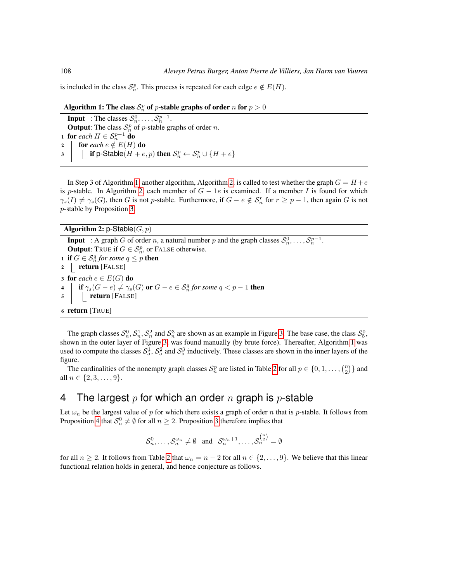is included in the class  $S_n^p$ . This process is repeated for each edge  $e \notin E(H)$ .

| Algorithm 1: The class $S_n^p$ of p-stable graphs of order n for $p > 0$ |  |
|--------------------------------------------------------------------------|--|
|                                                                          |  |

**Input** : The classes  $S_n^0, \ldots, S_n^{p-1}$ . **Output:** The class  $S_n^p$  of *p*-stable graphs of order *n*. 1 for *each*  $H \in S_n^{p-1}$  do 2 **for** *each*  $e \notin E(H)$  **do**<br>3 **if p-Stable**  $(H + e)$ 3 if p-Stable $(H+e, p)$  then  $S_n^p \leftarrow S_n^p \cup \{H+e\}$ 

<span id="page-5-0"></span>In Step 3 of Algorithm [1,](#page-5-0) another algorithm, Algorithm [2,](#page-5-1) is called to test whether the graph  $G = H + e$ is p-stable. In Algorithm [2,](#page-5-1) each member of  $G - 1e$  is examined. If a member I is found for which  $\gamma_s(I) \neq \gamma_s(G)$ , then G is not p-stable. Furthermore, if  $G - e \notin S_n^r$  for  $r \geq p-1$ , then again G is not p-stable by Proposition [3.](#page-2-3)

Algorithm 2: p-Stable $(G, p)$ 

**Input** : A graph G of order n, a natural number p and the graph classes  $S_n^0, \ldots, S_n^{p-1}$ . **Output:** TRUE if  $G \in \mathcal{S}_n^p$ , or FALSE otherwise. 1 if  $G \in \mathcal{S}_n^q$  for some  $q \leq p$  then  $2$  return [FALSE] 3 for *each*  $e \in E(G)$  do<br>4 **if**  $\gamma_s(G-e) \neq \gamma_s$ 4 **if**  $\gamma_s(G-e) \neq \gamma_s(G)$  or  $G-e \in \mathcal{S}_n^q$  for some  $q < p-1$  then  $\mathfrak{s}$  | | return [FALSE] <sup>6</sup> return [TRUE]

<span id="page-5-1"></span>The graph classes  $S_n^0$ ,  $S_n^1$ ,  $S_n^2$  and  $S_n^3$  are shown as an example in Figure [3.](#page-6-0) The base case, the class  $S_5^0$ , shown in the outer layer of Figure [3,](#page-6-0) was found manually (by brute force). Thereafter, Algorithm [1](#page-5-0) was used to compute the classes  $S_5^1$ ,  $S_5^2$  and  $S_5^3$  inductively. These classes are shown in the inner layers of the figure.

The cardinalities of the nonempty graph classes  $S_n^p$  are listed in Table [2](#page-7-0) for all  $p \in \{0, 1, ..., {n \choose 2}\}$  and all  $n \in \{2, 3, \ldots, 9\}.$ 

## 4 The largest  $p$  for which an order  $n$  graph is  $p$ -stable

Let  $\omega_n$  be the largest value of p for which there exists a graph of order n that is p-stable. It follows from Proposition [4](#page-3-0) that  $S_n^0 \neq \emptyset$  for all  $n \geq 2$ . Proposition [3](#page-2-3) therefore implies that

 $\mathcal{S}_n^0, \ldots, \mathcal{S}_n^{\omega_n} \neq \emptyset$  and  $\mathcal{S}_n^{\omega_n+1}, \ldots, \mathcal{S}_n^{\binom{n}{2}} = \emptyset$ 

<span id="page-5-2"></span>for all  $n \ge 2$  $n \ge 2$ . It follows from Table 2 that  $\omega_n = n - 2$  for all  $n \in \{2, ..., 9\}$ . We believe that this linear functional relation holds in general, and hence conjecture as follows.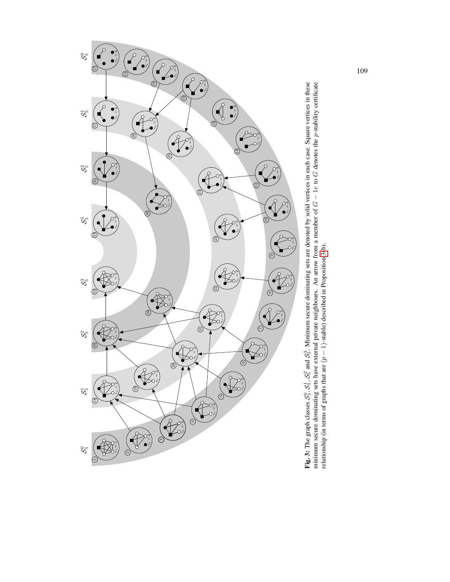<span id="page-6-0"></span>

Fig. 3: The graph classes  $S_5^0$ ,  $S_5^1$ ,  $S_5^2$  and  $S_5^3$ . Minimum secure dominating sets are denoted by solid vertices in each case. Square vertices in these minimum secure dominating sets have external private nei Fig. 3: The graph classes  $S_5^1$ ,  $S_5^2$ ,  $S_5^3$  and  $S_5^3$ . Minimum secure dominating sets are denoted by solid vertices in each case. Square vertices in these minimum secure dominating sets have external private neighbours. An arrow from a member of  $G - 1e$  to G denotes the p-stability certificate relationship (in terms of graphs that are  $(p - 1)$ -stable) described in Proposition [3\(](#page-2-3)b).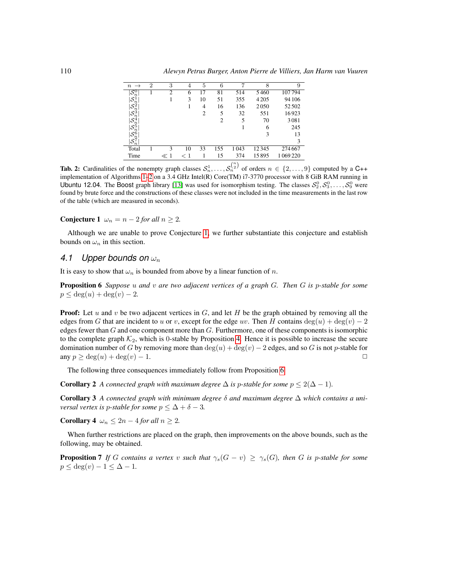| $\rightarrow$<br>$\boldsymbol{n}$    | $\overline{2}$ | 3              | 4   | 5              | 6              | ⇁    | 8       | 9       |
|--------------------------------------|----------------|----------------|-----|----------------|----------------|------|---------|---------|
| $\overline{\mathcal{S}^0_n}$         |                | $\overline{c}$ | 6   | 17             | 81             | 514  | 5460    | 107794  |
| $\mathcal{S}^1_n$                    |                |                | 3   | 10             | 51             | 355  | 4 2 0 5 | 94 106  |
| $\mathcal{S}_n^2$                    |                |                |     | 4              | 16             | 136  | 2050    | 52502   |
| $\mathcal{S}_n^3$                    |                |                |     | $\overline{c}$ | 5              | 32   | 551     | 16923   |
| $\mathcal{S}_n^4$                    |                |                |     |                | $\overline{2}$ | 5    | 70      | 3081    |
| $\mathcal{S}_n^5$                    |                |                |     |                |                |      | 6       | 245     |
|                                      |                |                |     |                |                |      | 3       | 13      |
| $ \mathcal{S}_n^6}{\mathcal{S}_n^7}$ |                |                |     |                |                |      |         | 3       |
| Total                                |                | 3              | 10  | 33             | 155            | 1043 | 12345   | 274 667 |
| Time                                 |                | $\ll 1$        | < 1 |                | 15             | 374  | 15895   | 1069220 |

<span id="page-7-0"></span>**Tab. 2:** Cardinalities of the nonempty graph classes  $S_n^1, \ldots, S_n^{(n)}$  of orders  $n \in \{2, \ldots, 9\}$  computed by a C++ implementation of Algorithms [1](#page-5-0)[–2](#page-5-1) on a 3.4 GHz Intel(R) Core(TM) i7-3770 processor with 8 GiB RAM running in Ubuntu 12.04. The Boost graph library [\[13\]](#page-14-1) was used for isomorphism testing. The classes  $S_2^0, S_3^0, \ldots, S_9^0$  were found by brute force and the constructions of these classes were not included in the time measurements in the last row of the table (which are measured in seconds).

Conjecture 1  $\omega_n = n - 2$  *for all*  $n \geq 2$ *.* 

Although we are unable to prove Conjecture [1,](#page-5-2) we further substantiate this conjecture and establish bounds on  $\omega_n$  in this section.

### 4.1 Upper bounds on  $\omega_n$

It is easy to show that  $\omega_n$  is bounded from above by a linear function of n.

<span id="page-7-1"></span>Proposition 6 *Suppose* u *and* v *are two adjacent vertices of a graph* G*. Then* G *is* p*-stable for some*  $p \leq \deg(u) + \deg(v) - 2.$ 

**Proof:** Let u and v be two adjacent vertices in  $G$ , and let  $H$  be the graph obtained by removing all the edges from G that are incident to u or v, except for the edge uv. Then H contains  $\deg(u) + \deg(v) - 2$ edges fewer than G and one component more than G. Furthermore, one of these components is isomorphic to the complete graph  $K_2$ , which is 0-stable by Proposition [4.](#page-3-0) Hence it is possible to increase the secure domination number of G by removing more than  $deg(u) + deg(v) - 2$  edges, and so G is not p-stable for any  $n > deg(u) + deg(v) - 1$ any  $p > \deg(u) + \deg(v) - 1$ .

The following three consequences immediately follow from Proposition [6.](#page-7-1)

**Corollary 2** *A connected graph with maximum degree*  $\Delta$  *is p-stable for some*  $p \leq 2(\Delta - 1)$ *.* 

Corollary 3 *A connected graph with minimum degree* δ *and maximum degree* ∆ *which contains a universal vertex is p-stable for some*  $p \leq \Delta + \delta - 3$ *.* 

Corollary 4  $\omega_n \leq 2n - 4$  *for all*  $n \geq 2$ *.* 

When further restrictions are placed on the graph, then improvements on the above bounds, such as the following, may be obtained.

<span id="page-7-2"></span>**Proposition 7** *If* G contains a vertex v such that  $\gamma_s(G - v) \geq \gamma_s(G)$ , then G is p-stable for some  $p \leq \deg(v) - 1 \leq \Delta - 1$ .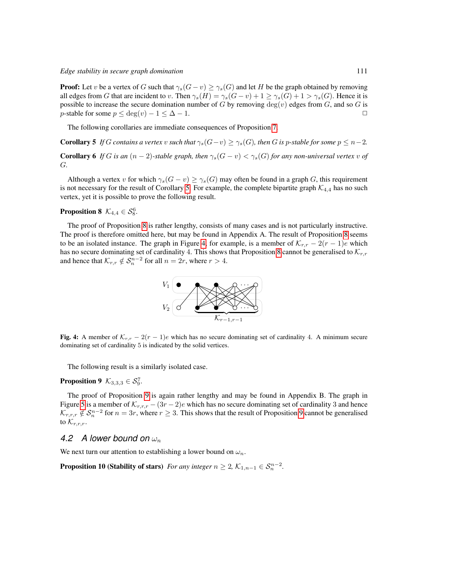**Proof:** Let v be a vertex of G such that  $\gamma_s(G - v) \geq \gamma_s(G)$  and let H be the graph obtained by removing all edges from G that are incident to v. Then  $\gamma_s(H) = \gamma_s(G - v) + 1 \ge \gamma_s(G) + 1 > \gamma_s(G)$ . Hence it is possible to increase the secure domination number of G by removing  $\deg(v)$  edges from G, and so G is p-stable for some  $p \leq \deg(v) - 1 \leq \Delta - 1$ .

The following corollaries are immediate consequences of Proposition [7.](#page-7-2)

<span id="page-8-0"></span>**Corollary 5** *If* G contains a vertex v such that  $\gamma_s(G-v) \geq \gamma_s(G)$ , then G is p-stable for some  $p \leq n-2$ .

**Corollary 6** *If* G *is an*  $(n-2)$ *-stable graph, then*  $\gamma_s(G-v) < \gamma_s(G)$  *for any non-universal vertex* v of G*.*

Although a vertex v for which  $\gamma_s(G - v) \geq \gamma_s(G)$  may often be found in a graph G, this requirement is not necessary for the result of Corollary [5.](#page-8-0) For example, the complete bipartite graph  $\mathcal{K}_{4,4}$  has no such vertex, yet it is possible to prove the following result.

<span id="page-8-1"></span>**Proposition 8**  $\mathcal{K}_{4,4} \in \mathcal{S}_8^6$ .

The proof of Proposition [8](#page-8-1) is rather lengthy, consists of many cases and is not particularly instructive. The proof is therefore omitted here, but may be found in Appendix A. The result of Proposition [8](#page-8-1) seems to be an isolated instance. The graph in Figure [4,](#page-8-2) for example, is a member of  $\mathcal{K}_{r,r} - 2(r-1)e$  which has no secure dominating set of cardinality 4. This shows that Proposition [8](#page-8-1) cannot be generalised to  $\mathcal{K}_{r,r}$ and hence that  $\mathcal{K}_{r,r} \notin \mathcal{S}_n^{n-2}$  for all  $n = 2r$ , where  $r > 4$ .



<span id="page-8-2"></span>Fig. 4: A member of  $\mathcal{K}_{r,r} - 2(r-1)e$  which has no secure dominating set of cardinality 4. A minimum secure dominating set of cardinality 5 is indicated by the solid vertices.

The following result is a similarly isolated case.

### <span id="page-8-3"></span>**Proposition 9**  $\mathcal{K}_{3,3,3} \in \mathcal{S}_9^7$ .

The proof of Proposition [9](#page-8-3) is again rather lengthy and may be found in Appendix B. The graph in Figure [5](#page-9-0) is a member of  $\mathcal{K}_{r,r,r}$  –  $(3r-2)e$  which has no secure dominating set of cardinality 3 and hence  $\mathcal{K}_{r,r,r}\notin\mathcal{S}_n^{n-2}$  for  $n=3r$ , where  $r\geq 3$ . This shows that the result of Proposition [9](#page-8-3) cannot be generalised to  $\mathcal{K}_{r,r,r}$ .

### 4.2 A lower bound on  $\omega_n$

We next turn our attention to establishing a lower bound on  $\omega_n$ .

**Proposition 10 (Stability of stars)** *For any integer*  $n \geq 2$ ,  $\mathcal{K}_{1,n-1} \in \mathcal{S}_n^{n-2}$ *.*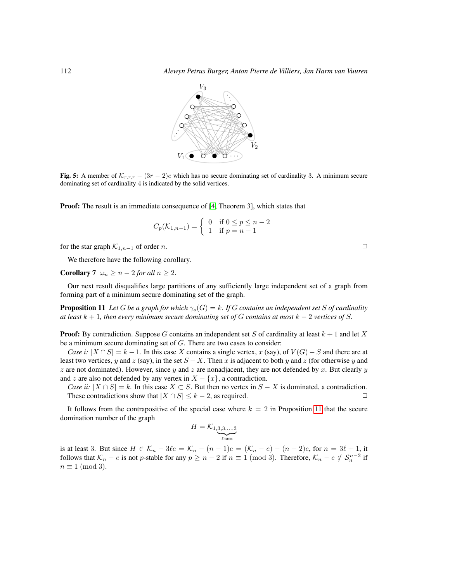

<span id="page-9-0"></span>**Fig. 5:** A member of  $\mathcal{K}_{r,r,r}$  –  $(3r-2)e$  which has no secure dominating set of cardinality 3. A minimum secure dominating set of cardinality 4 is indicated by the solid vertices.

**Proof:** The result is an immediate consequence of [\[4,](#page-13-6) Theorem 3], which states that

$$
C_p(\mathcal{K}_{1,n-1}) = \begin{cases} 0 & \text{if } 0 \le p \le n-2 \\ 1 & \text{if } p = n-1 \end{cases}
$$

for the star graph  $\mathcal{K}_{1,n-1}$  of order n.  $□$ 

We therefore have the following corollary.

<span id="page-9-2"></span>**Corollary 7**  $\omega_n \geq n - 2$  *for all*  $n \geq 2$ .

Our next result disqualifies large partitions of any sufficiently large independent set of a graph from forming part of a minimum secure dominating set of the graph.

<span id="page-9-1"></span>**Proposition 11** Let G be a graph for which  $\gamma_s(G) = k$ . If G contains an independent set S of cardinality *at least*  $k + 1$ *, then every minimum secure dominating set of* G *contains at most*  $k - 2$  *vertices of* S.

**Proof:** By contradiction. Suppose G contains an independent set S of cardinality at least  $k + 1$  and let X be a minimum secure dominating set of  $G$ . There are two cases to consider:

*Case i:*  $|X \cap S| = k - 1$ . In this case X contains a single vertex, x (say), of  $V(G) - S$  and there are at least two vertices, y and z (say), in the set  $S - X$ . Then x is adjacent to both y and z (for otherwise y and  $z$  are not dominated). However, since  $y$  and  $z$  are nonadjacent, they are not defended by  $x$ . But clearly  $y$ and z are also not defended by any vertex in  $X - \{x\}$ , a contradiction.

*Case ii:*  $|X \cap S| = k$ . In this case  $X \subset S$ . But then no vertex in  $S - X$  is dominated, a contradiction.<br>These contradictions show that  $|X \cap S| \le k - 2$ , as required. These contradictions show that  $|X \cap S| \leq k - 2$ , as required.

It follows from the contrapositive of the special case where  $k = 2$  in Proposition [11](#page-9-1) that the secure domination number of the graph

$$
H = \mathcal{K}_{1,\underbrace{3,3,\ldots,3}_{\ell\,\text{terms}}}
$$

is at least 3. But since  $H \in \mathcal{K}_n - 3\ell e = \mathcal{K}_n - (n-1)e = (\mathcal{K}_n - e) - (n-2)e$ , for  $n = 3\ell + 1$ , it follows that  $\mathcal{K}_n - e$  is not p-stable for any  $p \ge n - 2$  if  $n \equiv 1 \pmod{3}$ . Therefore,  $\mathcal{K}_n - e \notin \mathcal{S}_n^{n-2}$  if  $n \equiv 1 \pmod{3}$ .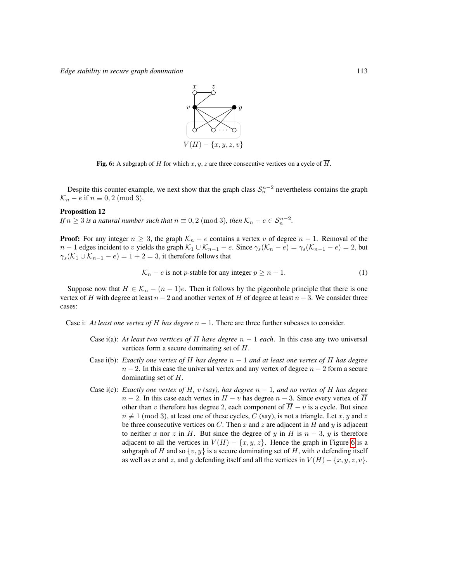

<span id="page-10-0"></span>Fig. 6: A subgraph of H for which  $x, y, z$  are three consecutive vertices on a cycle of  $\overline{H}$ .

Despite this counter example, we next show that the graph class  $S_n^{n-2}$  nevertheless contains the graph  $\mathcal{K}_n - e$  if  $n \equiv 0, 2 \pmod{3}$ .

#### <span id="page-10-2"></span>Proposition 12

*If*  $n \geq 3$  *is a natural number such that*  $n \equiv 0, 2 \pmod{3}$ *, then*  $\mathcal{K}_n - e \in \mathcal{S}_n^{n-2}$ *.* 

**Proof:** For any integer  $n \geq 3$ , the graph  $\mathcal{K}_n - e$  contains a vertex v of degree  $n - 1$ . Removal of the  $n-1$  edges incident to v yields the graph  $\mathcal{K}_1 \cup \mathcal{K}_{n-1} - e$ . Since  $\gamma_s(\mathcal{K}_n - e) = \gamma_s(\mathcal{K}_{n-1} - e) = 2$ , but  $\gamma_s(\mathcal{K}_1 \cup \mathcal{K}_{n-1} - e) = 1 + 2 = 3$ , it therefore follows that

<span id="page-10-1"></span>
$$
\mathcal{K}_n - e \text{ is not } p\text{-stable for any integer } p \ge n - 1. \tag{1}
$$

Suppose now that  $H \in \mathcal{K}_n - (n-1)e$ . Then it follows by the pigeonhole principle that there is one vertex of H with degree at least  $n-2$  and another vertex of H of degree at least  $n-3$ . We consider three cases:

Case i: *At least one vertex of H has degree*  $n - 1$ . There are three further subcases to consider.

- Case i(a): *At least two vertices of H have degree*  $n 1$  *each*. In this case any two universal vertices form a secure dominating set of H.
- Case i(b): *Exactly one vertex of* H *has degree* n − 1 *and at least one vertex of* H *has degree*  $n-2$ . In this case the universal vertex and any vertex of degree  $n-2$  form a secure dominating set of H.
- Case i(c): *Exactly one vertex of* H, v *(say), has degree*  $n 1$ *, and no vertex of* H *has degree*  $n-2$ . In this case each vertex in  $H - v$  has degree  $n-3$ . Since every vertex of  $\overline{H}$ other than v therefore has degree 2, each component of  $\overline{H} - v$  is a cycle. But since  $n \neq 1 \pmod{3}$ , at least one of these cycles, C (say), is not a triangle. Let x, y and z be three consecutive vertices on  $C$ . Then  $x$  and  $z$  are adjacent in  $H$  and  $y$  is adjacent to neither x nor z in H. But since the degree of y in H is  $n-3$ , y is therefore adjacent to all the vertices in  $V(H) - \{x, y, z\}$ . Hence the graph in Figure [6](#page-10-0) is a subgraph of H and so  $\{v, y\}$  is a secure dominating set of H, with v defending itself as well as x and z, and y defending itself and all the vertices in  $V(H) - \{x, y, z, v\}$ .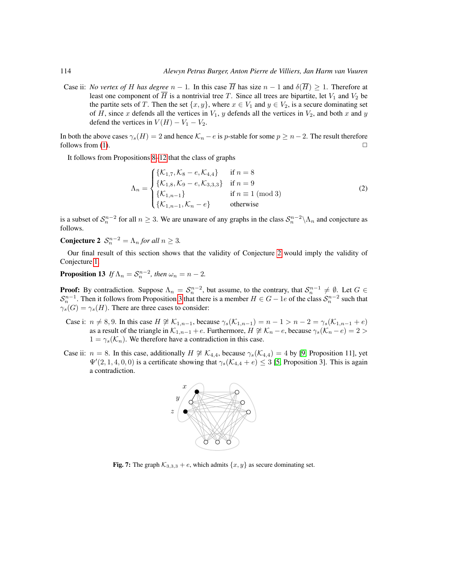Case ii: *No vertex of H has degree*  $n - 1$ . In this case  $\overline{H}$  has size  $n - 1$  and  $\delta(\overline{H}) \geq 1$ . Therefore at least one component of  $\overline{H}$  is a nontrivial tree T. Since all trees are bipartite, let  $V_1$  and  $V_2$  be the partite sets of T. Then the set  $\{x, y\}$ , where  $x \in V_1$  and  $y \in V_2$ , is a secure dominating set of H, since x defends all the vertices in  $V_1$ , y defends all the vertices in  $V_2$ , and both x and y defend the vertices in  $V(H) - V_1 - V_2$ .

In both the above cases  $\gamma_s(H) = 2$  and hence  $\mathcal{K}_n - e$  is p-stable for some  $p \geq n - 2$ . The result therefore follows from  $(1)$ .

It follows from Propositions [8–](#page-8-1)[12](#page-10-2) that the class of graphs

<span id="page-11-2"></span>
$$
\Lambda_n = \begin{cases}\n\{\mathcal{K}_{1,7}, \mathcal{K}_8 - e, \mathcal{K}_{4,4}\} & \text{if } n = 8 \\
\{\mathcal{K}_{1,8}, \mathcal{K}_9 - e, \mathcal{K}_{3,3,3}\} & \text{if } n = 9 \\
\{\mathcal{K}_{1,n-1}\} & \text{if } n \equiv 1 \text{ (mod 3)} \\
\{\mathcal{K}_{1,n-1}, \mathcal{K}_n - e\} & \text{otherwise}\n\end{cases}
$$
\n(2)

is a subset of  $S_n^{n-2}$  for all  $n \ge 3$ . We are unaware of any graphs in the class  $S_n^{n-2} \setminus \Lambda_n$  and conjecture as follows.

<span id="page-11-0"></span>**Conjecture 2**  $S_n^{n-2} = \Lambda_n$  for all  $n \geq 3$ .

Our final result of this section shows that the validity of Conjecture [2](#page-11-0) would imply the validity of Conjecture [1.](#page-5-2)

### <span id="page-11-3"></span>**Proposition 13** If  $\Lambda_n = S_n^{n-2}$ , then  $\omega_n = n-2$ .

**Proof:** By contradiction. Suppose  $\Lambda_n = S_n^{n-2}$ , but assume, to the contrary, that  $S_n^{n-1} \neq \emptyset$ . Let  $G \in$  $S_n^{n-1}$ . Then it follows from Proposition [3](#page-2-3) that there is a member  $H \in G - 1e$  of the class  $S_n^{n-2}$  such that  $\gamma_s(G) = \gamma_s(H)$ . There are three cases to consider:

- Case i:  $n \neq 8, 9$ . In this case  $H \not\cong \mathcal{K}_{1,n-1}$ , because  $\gamma_s(\mathcal{K}_{1,n-1}) = n 1 > n 2 = \gamma_s(\mathcal{K}_{1,n-1} + e)$ as a result of the triangle in  $\mathcal{K}_{1,n-1}$  + e. Furthermore,  $H \not\cong \mathcal{K}_n - e$ , because  $\gamma_s(\mathcal{K}_n - e) = 2 >$  $1 = \gamma_s(\mathcal{K}_n)$ . We therefore have a contradiction in this case.
- Case ii:  $n = 8$ . In this case, additionally  $H \not\cong \mathcal{K}_{4,4}$ , because  $\gamma_s(\mathcal{K}_{4,4}) = 4$  by [\[9,](#page-13-0) Proposition 11], yet  $\Psi'(2, 1, 4, 0, 0)$  is a certificate showing that  $\gamma_s(\mathcal{K}_{4,4} + e) \leq 3$  [\[5,](#page-13-8) Proposition 3]. This is again a contradiction.



<span id="page-11-1"></span>Fig. 7: The graph  $K_{3,3,3} + e$ , which admits  $\{x, y\}$  as secure dominating set.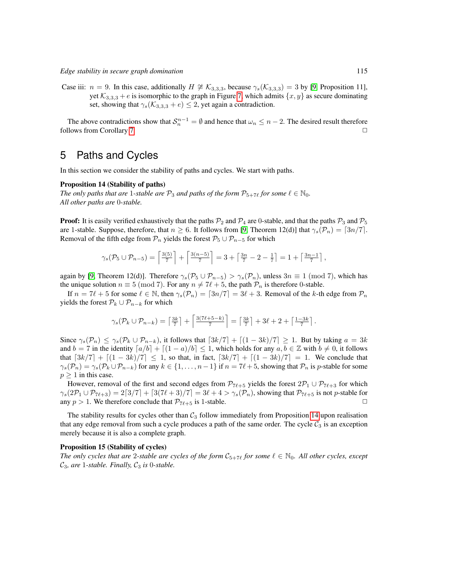Case iii:  $n = 9$ . In this case, additionally  $H \not\cong \mathcal{K}_{3,3,3}$ , because  $\gamma_s(\mathcal{K}_{3,3,3}) = 3$  by [\[9,](#page-13-0) Proposition 11], yet  $\mathcal{K}_{3,3,3} + e$  is isomorphic to the graph in Figure [7,](#page-11-1) which admits  $\{x, y\}$  as secure dominating set, showing that  $\gamma_s(\mathcal{K}_{3,3,3} + e) \leq 2$ , yet again a contradiction.

The above contradictions show that  $S_n^{n-1} = \emptyset$  and hence that  $\omega_n \leq n-2$ . The desired result therefore follows from Corollary [7.](#page-9-2)

### 5 Paths and Cycles

<span id="page-12-0"></span>In this section we consider the stability of paths and cycles. We start with paths.

#### Proposition 14 (Stability of paths)

*The only paths that are* 1-stable are  $\mathcal{P}_3$  *and paths of the form*  $\mathcal{P}_{5+7\ell}$  *for some*  $\ell \in \mathbb{N}_0$ *. All other paths are* 0*-stable.*

**Proof:** It is easily verified exhaustively that the paths  $\mathcal{P}_2$  and  $\mathcal{P}_4$  are 0-stable, and that the paths  $\mathcal{P}_3$  and  $\mathcal{P}_5$ are 1-stable. Suppose, therefore, that  $n \geq 6$ . It follows from [\[9,](#page-13-0) Theorem 12(d)] that  $\gamma_s(\mathcal{P}_n) = \lceil 3n/7 \rceil$ . Removal of the fifth edge from  $\mathcal{P}_n$  yields the forest  $\mathcal{P}_5 \cup \mathcal{P}_{n-5}$  for which

$$
\gamma_s(\mathcal{P}_5 \cup \mathcal{P}_{n-5}) = \left\lceil \frac{3(5)}{7} \right\rceil + \left\lceil \frac{3(n-5)}{7} \right\rceil = 3 + \left\lceil \frac{3n}{7} - 2 - \frac{1}{7} \right\rceil = 1 + \left\lceil \frac{3n-1}{7} \right\rceil,
$$

again by [\[9,](#page-13-0) Theorem 12(d)]. Therefore  $\gamma_s(\mathcal{P}_5 \cup \mathcal{P}_{n-5}) > \gamma_s(\mathcal{P}_n)$ , unless  $3n \equiv 1 \pmod{7}$ , which has the unique solution  $n \equiv 5 \pmod{7}$ . For any  $n \neq 7\ell + 5$ , the path  $\mathcal{P}_n$  is therefore 0-stable.

If  $n = 7\ell + 5$  for some  $\ell \in \mathbb{N}$ , then  $\gamma_s(\mathcal{P}_n) = \lceil 3n/7 \rceil = 3\ell + 3$ . Removal of the k-th edge from  $\mathcal{P}_n$ yields the forest  $\mathcal{P}_k \cup \mathcal{P}_{n-k}$  for which

$$
\gamma_s(\mathcal{P}_k \cup \mathcal{P}_{n-k}) = \left\lceil \frac{3k}{7} \right\rceil + \left\lceil \frac{3(7\ell+5-k)}{7} \right\rceil = \left\lceil \frac{3k}{7} \right\rceil + 3\ell + 2 + \left\lceil \frac{1-3k}{7} \right\rceil.
$$

Since  $\gamma_s(\mathcal{P}_n) \leq \gamma_s(\mathcal{P}_k \cup \mathcal{P}_{n-k}),$  it follows that  $\lceil 3k/7 \rceil + \lceil (1-3k)/7 \rceil \geq 1$ . But by taking  $a = 3k$ and  $b = 7$  in the identity  $\lceil a/b \rceil + \lceil (1 - a)/b \rceil \leq 1$ , which holds for any  $a, b \in \mathbb{Z}$  with  $b \neq 0$ , it follows that  $\left[3k/7\right] + \left[ (1 - 3k)/7 \right] \leq 1$ , so that, in fact,  $\left[3k/7\right] + \left[ (1 - 3k)/7 \right] = 1$ . We conclude that  $\gamma_s(\mathcal{P}_n) = \gamma_s(\mathcal{P}_k \cup \mathcal{P}_{n-k})$  for any  $k \in \{1, \dots, n-1\}$  if  $n = 7\ell + 5$ , showing that  $\mathcal{P}_n$  is p-stable for some  $p \geq 1$  in this case.

However, removal of the first and second edges from  $\mathcal{P}_{7\ell+5}$  yields the forest  $2\mathcal{P}_1 \cup \mathcal{P}_{7\ell+3}$  for which  $\gamma_s(2P_1 \cup P_{7\ell+3}) = 2\lceil 3/7 \rceil + \lceil 3(7\ell+3)/7 \rceil = 3\ell + 4 > \gamma_s(P_n)$ , showing that  $P_{7\ell+5}$  is not p-stable for any  $n > 1$ . We therefore conclude that  $P_{7\ell+5}$  is 1-stable. any  $p > 1$ . We therefore conclude that  $P_{7\ell+5}$  is 1-stable.

The stability results for cycles other than  $C_3$  follow immediately from Proposition [14](#page-12-0) upon realisation that any edge removal from such a cycle produces a path of the same order. The cycle  $C_3$  is an exception merely because it is also a complete graph.

#### Proposition 15 (Stability of cycles)

*The only cycles that are 2-stable are cycles of the form*  $C_{5+7\ell}$  *for some*  $\ell \in \mathbb{N}_0$ *. All other cycles, except*  $C_3$ , are 1-stable. Finally,  $C_3$  is 0-stable.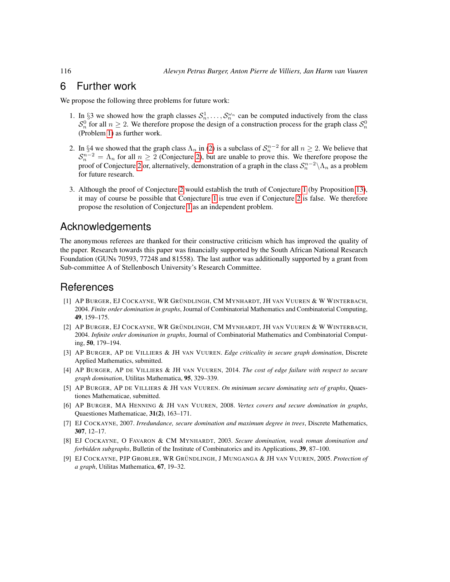### 6 Further work

We propose the following three problems for future work:

- 1. In §3 we showed how the graph classes  $S_n^1, \ldots, S_n^{\omega_n}$  can be computed inductively from the class  $S_n^0$  for all  $n \ge 2$ . We therefore propose the design of a construction process for the graph class  $S_n^0$ (Problem [1\)](#page-3-2) as further work.
- 2. In §4 we showed that the graph class  $\Lambda_n$  in [\(2\)](#page-11-2) is a subclass of  $\mathcal{S}_n^{n-2}$  for all  $n \ge 2$ . We believe that  $S_n^{n-2} = \Lambda_n$  for all  $n \ge 2$  (Conjecture [2\)](#page-11-0), but are unable to prove this. We therefore propose the proof of Conjecture [2](#page-11-0) or, alternatively, demonstration of a graph in the class  $S_n^{n-2} \setminus \Lambda_n$  as a problem for future research.
- 3. Although the proof of Conjecture [2](#page-11-0) would establish the truth of Conjecture [1](#page-5-2) (by Proposition [13\)](#page-11-3), it may of course be possible that Conjecture [1](#page-5-2) is true even if Conjecture [2](#page-11-0) is false. We therefore propose the resolution of Conjecture [1](#page-5-2) as an independent problem.

### Acknowledgements

The anonymous referees are thanked for their constructive criticism which has improved the quality of the paper. Research towards this paper was financially supported by the South African National Research Foundation (GUNs 70593, 77248 and 81558). The last author was additionally supported by a grant from Sub-committee A of Stellenbosch University's Research Committee.

### **References**

- <span id="page-13-1"></span>[1] AP BURGER, EJ COCKAYNE, WR GRÜNDLINGH, CM MYNHARDT, JH VAN VUUREN & W WINTERBACH, 2004. *Finite order domination in graphs*, Journal of Combinatorial Mathematics and Combinatorial Computing, 49, 159–175.
- <span id="page-13-2"></span>[2] AP BURGER, EJ COCKAYNE, WR GRÜNDLINGH, CM MYNHARDT, JH VAN VUUREN & W WINTERBACH, 2004. *Infinite order domination in graphs*, Journal of Combinatorial Mathematics and Combinatorial Computing, 50, 179–194.
- <span id="page-13-7"></span>[3] AP BURGER, AP DE VILLIERS & JH VAN VUUREN. *Edge criticality in secure graph domination*, Discrete Applied Mathematics, submitted.
- <span id="page-13-6"></span>[4] AP BURGER, AP DE VILLIERS & JH VAN VUUREN, 2014. *The cost of edge failure with respect to secure graph domination*, Utilitas Mathematica, 95, 329–339.
- <span id="page-13-8"></span>[5] AP BURGER, AP DE VILLIERS & JH VAN VUUREN. *On minimum secure dominating sets of graphs*, Quaestiones Mathematicae, submitted.
- <span id="page-13-3"></span>[6] AP BURGER, MA HENNING & JH VAN VUUREN, 2008. *Vertex covers and secure domination in graphs*, Quaestiones Mathematicae, 31(2), 163–171.
- <span id="page-13-4"></span>[7] EJ COCKAYNE, 2007. *Irredundance, secure domination and maximum degree in trees*, Discrete Mathematics, 307, 12–17.
- <span id="page-13-5"></span>[8] EJ COCKAYNE, O FAVARON & CM MYNHARDT, 2003. *Secure domination, weak roman domination and forbidden subgraphs*, Bulletin of the Institute of Combinatorics and its Applications, 39, 87–100.
- <span id="page-13-0"></span>[9] EJ COCKAYNE, PJP GROBLER, WR GRÜNDLINGH, J MUNGANGA & JH VAN VUUREN, 2005. Protection of *a graph*, Utilitas Mathematica, 67, 19–32.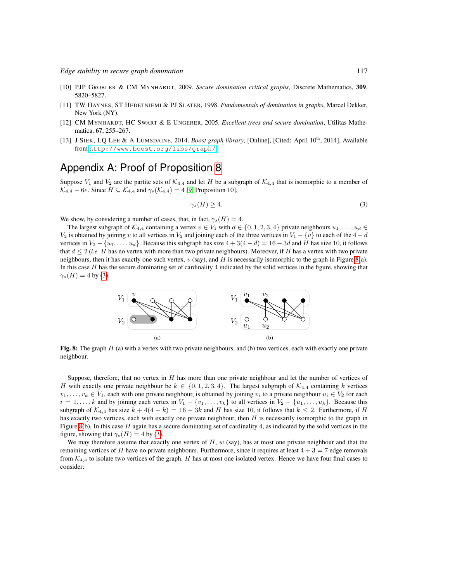- [10] PJP GROBLER & CM MYNHARDT, 2009. *Secure domination critical graphs*, Discrete Mathematics, 309, 5820–5827.
- [11] TW HAYNES, ST HEDETNIEMI & PJ SLATER, 1998. *Fundamentals of domination in graphs*, Marcel Dekker, New York (NY).
- <span id="page-14-0"></span>[12] CM MYNHARDT, HC SWART & E UNGERER, 2005. *Excellent trees and secure domination*, Utilitas Mathematica, 67, 255–267.
- <span id="page-14-1"></span>[13] J SIEK, LQ LEE & A LUMSDAINE, 2014. *Boost graph library*, [Online], [Cited: April 10<sup>th</sup>, 2014], Available from <http://www.boost.org/libs/graph/>.

## Appendix A: Proof of Proposition [8](#page-8-1)

Suppose  $V_1$  and  $V_2$  are the partite sets of  $K_{4,4}$  and let H be a subgraph of  $K_{4,4}$  that is isomorphic to a member of  $\mathcal{K}_{4,4}$  – 6e. Since  $H \subseteq \mathcal{K}_{4,4}$  and  $\gamma_s(\mathcal{K}_{4,4}) = 4$  [\[9,](#page-13-0) Proposition 10],

<span id="page-14-3"></span>
$$
\gamma_s(H) \ge 4. \tag{3}
$$

We show, by considering a number of cases, that, in fact,  $\gamma_s(H) = 4$ .

The largest subgraph of  $\mathcal{K}_{4,4}$  containing a vertex  $v \in V_1$  with  $d \in \{0,1,2,3,4\}$  private neighbours  $u_1, \ldots, u_d \in$  $V_2$  is obtained by joining v to all vertices in  $V_2$  and joining each of the three vertices in  $V_1 - \{v\}$  to each of the  $4 - d$ vertices in  $V_2 - \{u_1, \ldots, u_d\}$ . Because this subgraph has size  $4 + 3(4 - d) = 16 - 3d$  and H has size 10, it follows that  $d \leq 2$  (*i.e.* H has no vertex with more than two private neighbours). Moreover, if H has a vertex with two private neighbours, then it has exactly one such vertex,  $v$  (say), and H is necessarily isomorphic to the graph in Figure [8\(](#page-14-2)a). In this case  $H$  has the secure dominating set of cardinality  $4$  indicated by the solid vertices in the figure, showing that  $\gamma_s(H) = 4$  by [\(3\)](#page-14-3).



<span id="page-14-2"></span>Fig. 8: The graph  $H$  (a) with a vertex with two private neighbours, and (b) two vertices, each with exactly one private neighbour.

Suppose, therefore, that no vertex in H has more than one private neighbour and let the number of vertices of H with exactly one private neighbour be  $k \in \{0, 1, 2, 3, 4\}$ . The largest subgraph of  $\mathcal{K}_{4,4}$  containing k vertices  $v_1, \ldots, v_k \in V_1$ , each with one private neighbour, is obtained by joining  $v_i$  to a private neighbour  $u_i \in V_2$  for each  $i = 1, \ldots, k$  and by joining each vertex in  $V_1 - \{v_1, \ldots, v_k\}$  to all vertices in  $V_2 - \{u_1, \ldots, u_k\}$ . Because this subgraph of  $\mathcal{K}_{4,4}$  has size  $k + 4(4 - k) = 16 - 3k$  and H has size 10, it follows that  $k \le 2$ . Furthermore, if H has exactly two vertices, each with exactly one private neighbour, then  $H$  is necessarily isomorphic to the graph in Figure [8\(](#page-14-2)b). In this case  $H$  again has a secure dominating set of cardinality 4, as indicated by the solid vertices in the figure, showing that  $\gamma_s(H) = 4$  by [\(3\)](#page-14-3).

We may therefore assume that exactly one vertex of  $H$ ,  $w$  (say), has at most one private neighbour and that the remaining vertices of H have no private neighbours. Furthermore, since it requires at least  $4 + 3 = 7$  edge removals from  $K_{4,4}$  to isolate two vertices of the graph, H has at most one isolated vertex. Hence we have four final cases to consider: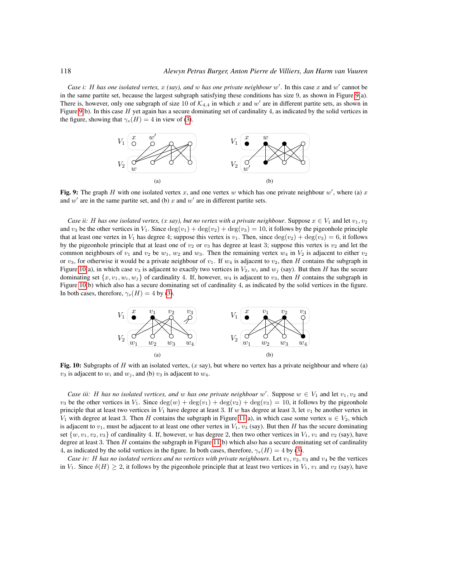Case i: H has one isolated vertex,  $x$  (say), and w has one private neighbour  $w'$ . In this case  $x$  and  $w'$  cannot be in the same partite set, because the largest subgraph satisfying these conditions has size 9, as shown in Figure [9\(](#page-15-0)a). There is, however, only one subgraph of size 10 of  $\mathcal{K}_{4,4}$  in which x and w' are in different partite sets, as shown in Figure [9\(](#page-15-0)b). In this case  $H$  yet again has a secure dominating set of cardinality 4, as indicated by the solid vertices in the figure, showing that  $\gamma_s(H) = 4$  in view of [\(3\)](#page-14-3).



<span id="page-15-0"></span>Fig. 9: The graph H with one isolated vertex x, and one vertex w which has one private neighbour  $w'$ , where (a) x and  $w'$  are in the same partite set, and (b) x and  $w'$  are in different partite sets.

*Case ii:* H has one isolated vertex, (x say), but no vertex with a private neighbour. Suppose  $x \in V_1$  and let  $v_1, v_2$ and  $v_3$  be the other vertices in  $V_1$ . Since  $\deg(v_1) + \deg(v_2) + \deg(v_3) = 10$ , it follows by the pigeonhole principle that at least one vertex in  $V_1$  has degree 4; suppose this vertex is  $v_1$ . Then, since  $\deg(v_2) + \deg(v_3) = 6$ , it follows by the pigeonhole principle that at least one of  $v_2$  or  $v_3$  has degree at least 3; suppose this vertex is  $v_2$  and let the common neighbours of  $v_1$  and  $v_2$  be  $w_1$ ,  $w_2$  and  $w_3$ . Then the remaining vertex  $w_4$  in  $V_2$  is adjacent to either  $v_2$ or  $v_3$ , for otherwise it would be a private neighbour of  $v_1$ . If  $w_4$  is adjacent to  $v_2$ , then H contains the subgraph in Figure [10\(](#page-15-1)a), in which case  $v_3$  is adjacent to exactly two vertices in  $V_2$ ,  $w_i$  and  $w_j$  (say). But then H has the secure dominating set  $\{x, v_1, w_i, w_j\}$  of cardinality 4. If, however,  $w_4$  is adjacent to  $v_3$ , then H contains the subgraph in Figure [10\(](#page-15-1)b) which also has a secure dominating set of cardinality 4, as indicated by the solid vertices in the figure. In both cases, therefore,  $\gamma_s(H) = 4$  by [\(3\)](#page-14-3).



<span id="page-15-1"></span>Fig. 10: Subgraphs of H with an isolated vertex,  $(x \text{ say})$ , but where no vertex has a private neighbour and where (a)  $v_3$  is adjacent to  $w_i$  and  $w_j$ , and (b)  $v_3$  is adjacent to  $w_4$ .

*Case iii:* H has no isolated vertices, and w has one private neighbour w'. Suppose  $w \in V_1$  and let  $v_1, v_2$  and  $v_3$  be the other vertices in  $V_1$ . Since  $\deg(w) + \deg(v_1) + \deg(v_2) + \deg(v_3) = 10$ , it follows by the pigeonhole principle that at least two vertices in  $V_1$  have degree at least 3. If w has degree at least 3, let  $v_1$  be another vertex in V<sub>1</sub> with degree at least 3. Then H contains the subgraph in Figure [11\(](#page-16-0)a), in which case some vertex  $u \in V_2$ , which is adjacent to  $v_1$ , must be adjacent to at least one other vertex in  $V_1$ ,  $v_3$  (say). But then H has the secure dominating set  $\{w, v_1, v_2, v_3\}$  of cardinality 4. If, however, w has degree 2, then two other vertices in  $V_1$ ,  $v_1$  and  $v_2$  (say), have degree at least 3. Then  $H$  contains the subgraph in Figure [11\(](#page-16-0)b) which also has a secure dominating set of cardinality 4, as indicated by the solid vertices in the figure. In both cases, therefore,  $\gamma_s(H) = 4$  by [\(3\)](#page-14-3).

*Case iv:* H has no isolated vertices and no vertices with private neighbours. Let  $v_1, v_2, v_3$  and  $v_4$  be the vertices in  $V_1$ . Since  $\delta(H) \geq 2$ , it follows by the pigeonhole principle that at least two vertices in  $V_1$ ,  $v_1$  and  $v_2$  (say), have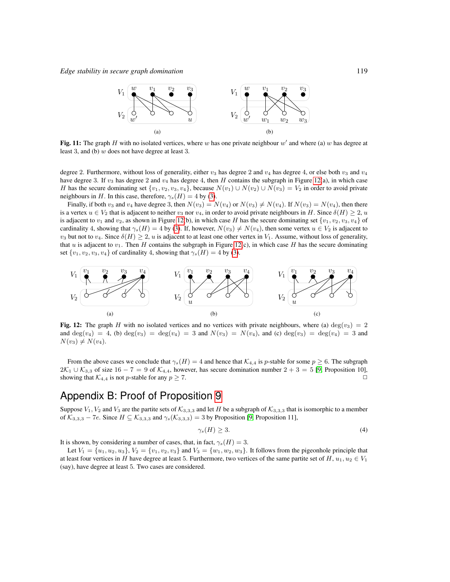

<span id="page-16-0"></span>Fig. 11: The graph H with no isolated vertices, where w has one private neighbour  $w'$  and where (a) w has degree at least 3, and (b)  $w$  does not have degree at least 3.

degree 2. Furthermore, without loss of generality, either  $v_3$  has degree 2 and  $v_4$  has degree 4, or else both  $v_3$  and  $v_4$ have degree 3. If  $v_3$  has degree 2 and  $v_4$  has degree 4, then H contains the subgraph in Figure [12\(](#page-16-1)a), in which case H has the secure dominating set  $\{v_1, v_2, v_3, v_4\}$ , because  $N(v_1) \cup N(v_2) \cup N(v_3) = V_2$  in order to avoid private neighbours in H. In this case, therefore,  $\gamma_s(H) = 4$  by [\(3\)](#page-14-3).

Finally, if both  $v_3$  and  $v_4$  have degree 3, then  $N(v_3) = N(v_4)$  or  $N(v_3) \neq N(v_4)$ . If  $N(v_3) = N(v_4)$ , then there is a vertex  $u \in V_2$  that is adjacent to neither  $v_3$  nor  $v_4$ , in order to avoid private neighbours in H. Since  $\delta(H) \geq 2$ , u is adjacent to  $v_1$  and  $v_2$ , as shown in Figure [12\(](#page-16-1)b), in which case H has the secure dominating set  $\{v_1, v_2, v_3, v_4\}$  of cardinality 4, showing that  $\gamma_s(H) = 4$  by [\(3\)](#page-14-3). If, however,  $N(v_3) \neq N(v_4)$ , then some vertex  $u \in V_2$  is adjacent to  $v_3$  but not to  $v_4$ . Since  $\delta(H) \geq 2$ , u is adjacent to at least one other vertex in  $V_1$ . Assume, without loss of generality, that u is adjacent to  $v_1$ . Then H contains the subgraph in Figure [12\(](#page-16-1)c), in which case H has the secure dominating set  $\{v_1, v_2, v_3, v_4\}$  of cardinality 4, showing that  $\gamma_s(H) = 4$  by [\(3\)](#page-14-3).



<span id="page-16-1"></span>Fig. 12: The graph H with no isolated vertices and no vertices with private neighbours, where (a) deg( $v_3$ ) = 2 and  $\deg(v_4) = 4$ , (b)  $\deg(v_3) = \deg(v_4) = 3$  and  $N(v_3) = N(v_4)$ , and (c)  $\deg(v_3) = \deg(v_4) = 3$  and  $N(v_3) \neq N(v_4)$ .

From the above cases we conclude that  $\gamma_s(H) = 4$  and hence that  $\mathcal{K}_{4,4}$  is p-stable for some  $p \ge 6$ . The subgraph  $2\mathcal{K}_1 \cup \mathcal{K}_{3,3}$  of size 16 − 7 = 9 of  $\mathcal{K}_{4,4}$ , however, has secure domination number 2 + 3 = 5 [\[9,](#page-13-0) Proposition 10], showing that  $\mathcal{K}_{4,4}$  is not p-stable for any  $p \ge 7$ .

### Appendix B: Proof of Proposition [9](#page-8-3)

Suppose  $V_1$ ,  $V_2$  and  $V_3$  are the partite sets of  $\mathcal{K}_{3,3,3}$  and let H be a subgraph of  $\mathcal{K}_{3,3,3}$  that is isomorphic to a member of  $K_{3,3,3}$  – 7e. Since  $H \subseteq K_{3,3,3}$  and  $\gamma_s(K_{3,3,3}) = 3$  by Proposition [\[9,](#page-13-0) Proposition 11],

<span id="page-16-2"></span>
$$
\gamma_s(H) \ge 3. \tag{4}
$$

It is shown, by considering a number of cases, that, in fact,  $\gamma_s(H) = 3$ .

Let  $V_1 = \{u_1, u_2, u_3\}, V_2 = \{v_1, v_2, v_3\}$  and  $V_3 = \{w_1, w_2, w_3\}.$  It follows from the pigeonhole principle that at least four vertices in H have degree at least 5. Furthermore, two vertices of the same partite set of H,  $u_1, u_2 \in V_1$ (say), have degree at least 5. Two cases are considered.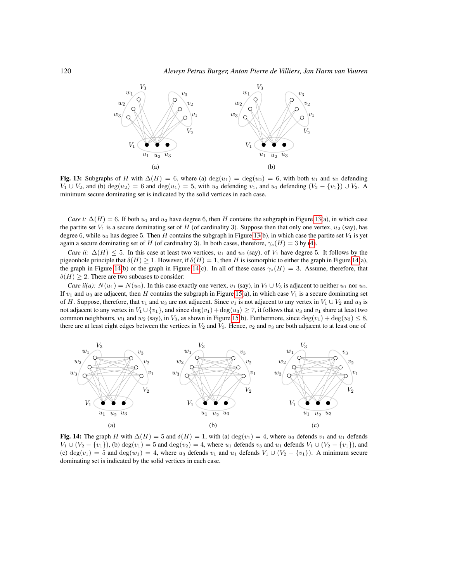

<span id="page-17-0"></span>Fig. 13: Subgraphs of H with  $\Delta(H) = 6$ , where (a) deg(u<sub>1</sub>) = deg(u<sub>2</sub>) = 6, with both u<sub>1</sub> and u<sub>2</sub> defending  $V_1 \cup V_2$ , and (b) deg $(u_2) = 6$  and deg $(u_1) = 5$ , with  $u_2$  defending  $v_1$ , and  $u_1$  defending  $(V_2 - \{v_1\}) \cup V_3$ . minimum secure dominating set is indicated by the solid vertices in each case.

*Case i:*  $\Delta(H) = 6$ . If both  $u_1$  and  $u_2$  have degree 6, then H contains the subgraph in Figure [13\(](#page-17-0)a), in which case the partite set  $V_1$  is a secure dominating set of H (of cardinality 3). Suppose then that only one vertex,  $u_2$  (say), has degree 6, while  $u_1$  has degree 5. Then H contains the subgraph in Figure [13\(](#page-17-0)b), in which case the partite set  $V_1$  is yet again a secure dominating set of H (of cardinality 3). In both cases, therefore,  $\gamma_s(H) = 3$  by [\(4\)](#page-16-2).

*Case ii:*  $\Delta(H) \leq 5$ . In this case at least two vertices,  $u_1$  and  $u_2$  (say), of  $V_1$  have degree 5. It follows by the pigeonhole principle that  $\delta(H) \geq 1$ . However, if  $\delta(H) = 1$ , then H is isomorphic to either the graph in Figure [14\(](#page-17-1)a), the graph in Figure [14\(](#page-17-1)b) or the graph in Figure 14(c). In all of these cases  $\gamma_s(H) = 3$ . Assume, therefore, that  $\delta(H) \geq 2$ . There are two subcases to consider:

*Case ii(a):*  $N(u_1) = N(u_2)$ . In this case exactly one vertex,  $v_1$  (say), in  $V_2 \cup V_3$  is adjacent to neither  $u_1$  nor  $u_2$ . If  $v_1$  and  $u_3$  are adjacent, then H contains the subgraph in Figure [15\(](#page-18-0)a), in which case  $V_1$  is a secure dominating set of H. Suppose, therefore, that  $v_1$  and  $u_3$  are not adjacent. Since  $v_1$  is not adjacent to any vertex in  $V_1 \cup V_2$  and  $u_3$  is not adjacent to any vertex in  $V_1 \cup \{v_1\}$ , and since  $\deg(v_1) + \deg(u_3) \ge 7$ , it follows that  $u_3$  and  $v_1$  share at least two common neighbours,  $w_1$  and  $w_2$  (say), in  $V_3$ , as shown in Figure [15\(](#page-18-0)b). Furthermore, since  $\deg(v_1) + \deg(u_3) \leq 8$ , there are at least eight edges between the vertices in  $V_2$  and  $V_3$ . Hence,  $v_2$  and  $v_3$  are both adjacent to at least one of



<span id="page-17-1"></span>Fig. 14: The graph H with  $\Delta(H) = 5$  and  $\delta(H) = 1$ , with (a) deg(v<sub>1</sub>) = 4, where u<sub>3</sub> defends v<sub>1</sub> and u<sub>1</sub> defends  $V_1 \cup (V_2 - \{v_1\})$ , (b)  $deg(v_1) = 5$  and  $deg(v_2) = 4$ , where  $u_1$  defends  $v_3$  and  $u_1$  defends  $V_1 \cup (V_2 - \{v_1\})$ , and (c) deg $(v_1) = 5$  and deg $(w_1) = 4$ , where  $u_3$  defends  $v_1$  and  $u_1$  defends  $V_1 \cup (V_2 - \{v_1\})$ . A minimum secure dominating set is indicated by the solid vertices in each case.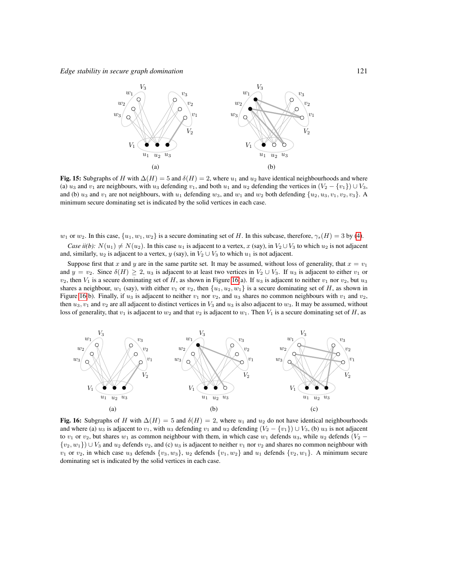

<span id="page-18-0"></span>Fig. 15: Subgraphs of H with  $\Delta(H) = 5$  and  $\delta(H) = 2$ , where  $u_1$  and  $u_2$  have identical neighbourhoods and where (a)  $u_3$  and  $v_1$  are neighbours, with  $u_3$  defending  $v_1$ , and both  $u_1$  and  $u_2$  defending the vertices in  $(V_2 - \{v_1\}) \cup V_3$ , and (b)  $u_3$  and  $v_1$  are not neighbours, with  $u_1$  defending  $w_3$ , and  $w_1$  and  $w_2$  both defending  $\{u_2, u_3, v_1, v_2, v_3\}$ . A minimum secure dominating set is indicated by the solid vertices in each case.

 $w_1$  or  $w_2$ . In this case,  $\{u_1, w_1, w_2\}$  is a secure dominating set of H. In this subcase, therefore,  $\gamma_s(H) = 3$  by [\(4\)](#page-16-2).

*Case ii(b):*  $N(u_1) \neq N(u_2)$ . In this case  $u_1$  is adjacent to a vertex, x (say), in  $V_2 \cup V_3$  to which  $u_2$  is not adjacent and, similarly,  $u_2$  is adjacent to a vertex, y (say), in  $V_2 \cup V_3$  to which  $u_1$  is not adjacent.

Suppose first that x and y are in the same partite set. It may be assumed, without loss of generality, that  $x = v_1$ and  $y = v_2$ . Since  $\delta(H) \geq 2$ ,  $u_3$  is adjacent to at least two vertices in  $V_2 \cup V_3$ . If  $u_3$  is adjacent to either  $v_1$  or  $v_2$ , then  $V_1$  is a secure dominating set of H, as shown in Figure [16\(](#page-18-1)a). If  $u_3$  is adjacent to neither  $v_1$  nor  $v_2$ , but  $u_3$ shares a neighbour,  $w_1$  (say), with either  $v_1$  or  $v_2$ , then  $\{u_1, u_2, w_1\}$  is a secure dominating set of H, as shown in Figure [16\(](#page-18-1)b). Finally, if  $u_3$  is adjacent to neither  $v_1$  nor  $v_2$ , and  $u_3$  shares no common neighbours with  $v_1$  and  $v_2$ , then  $u_3, v_1$  and  $v_2$  are all adjacent to distinct vertices in  $V_3$  and  $u_3$  is also adjacent to  $w_3$ . It may be assumed, without loss of generality, that  $v_1$  is adjacent to  $w_2$  and that  $v_2$  is adjacent to  $w_1$ . Then  $V_1$  is a secure dominating set of H, as



<span id="page-18-1"></span>Fig. 16: Subgraphs of H with  $\Delta(H) = 5$  and  $\delta(H) = 2$ , where  $u_1$  and  $u_2$  do not have identical neighbourhoods and where (a)  $u_3$  is adjacent to  $v_1$ , with  $u_3$  defending  $v_1$  and  $u_2$  defending  $(V_2 - \{v_1\}) \cup V_3$ , (b)  $u_3$  is not adjacent to  $v_1$  or  $v_2$ , but shares  $w_1$  as common neighbour with them, in which case  $w_1$  defends  $u_3$ , while  $u_2$  defends  $(V_2 \{v_2, w_1\}$  ∪  $V_3$  and  $u_2$  defends  $v_2$ , and (c)  $u_3$  is adjacent to neither  $v_1$  nor  $v_2$  and shares no common neighbour with  $v_1$  or  $v_2$ , in which case  $u_3$  defends  $\{v_3, w_3\}$ ,  $u_2$  defends  $\{v_1, w_2\}$  and  $u_1$  defends  $\{v_2, w_1\}$ . A minimum secure dominating set is indicated by the solid vertices in each case.